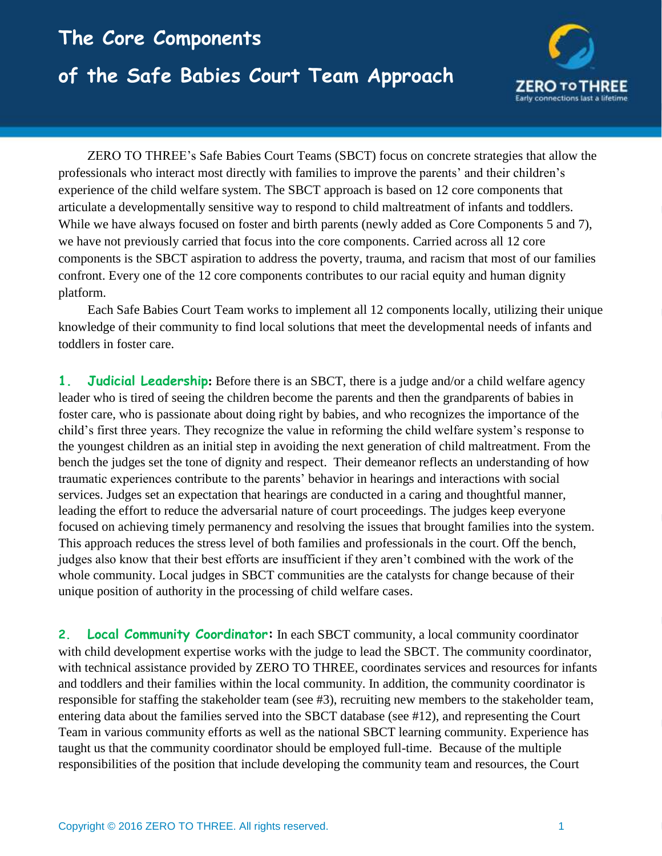## **The Core Components of the Safe Babies Court Team Approach**



ZERO TO THREE's Safe Babies Court Teams (SBCT) focus on concrete strategies that allow the professionals who interact most directly with families to improve the parents' and their children's experience of the child welfare system. The SBCT approach is based on 12 core components that articulate a developmentally sensitive way to respond to child maltreatment of infants and toddlers. While we have always focused on foster and birth parents (newly added as Core Components 5 and 7), we have not previously carried that focus into the core components. Carried across all 12 core components is the SBCT aspiration to address the poverty, trauma, and racism that most of our families confront. Every one of the 12 core components contributes to our racial equity and human dignity platform.

Each Safe Babies Court Team works to implement all 12 components locally, utilizing their unique knowledge of their community to find local solutions that meet the developmental needs of infants and toddlers in foster care.

**1. Judicial Leadership:** Before there is an SBCT, there is a judge and/or a child welfare agency leader who is tired of seeing the children become the parents and then the grandparents of babies in foster care, who is passionate about doing right by babies, and who recognizes the importance of the child's first three years. They recognize the value in reforming the child welfare system's response to the youngest children as an initial step in avoiding the next generation of child maltreatment. From the bench the judges set the tone of dignity and respect. Their demeanor reflects an understanding of how traumatic experiences contribute to the parents' behavior in hearings and interactions with social services. Judges set an expectation that hearings are conducted in a caring and thoughtful manner, leading the effort to reduce the adversarial nature of court proceedings. The judges keep everyone focused on achieving timely permanency and resolving the issues that brought families into the system. This approach reduces the stress level of both families and professionals in the court. Off the bench, judges also know that their best efforts are insufficient if they aren't combined with the work of the whole community. Local judges in SBCT communities are the catalysts for change because of their unique position of authority in the processing of child welfare cases.

**2. Local Community Coordinator:** In each SBCT community, a local community coordinator with child development expertise works with the judge to lead the SBCT. The community coordinator, with technical assistance provided by ZERO TO THREE, coordinates services and resources for infants and toddlers and their families within the local community. In addition, the community coordinator is responsible for staffing the stakeholder team (see #3), recruiting new members to the stakeholder team, entering data about the families served into the SBCT database (see #12), and representing the Court Team in various community efforts as well as the national SBCT learning community. Experience has taught us that the community coordinator should be employed full-time. Because of the multiple responsibilities of the position that include developing the community team and resources, the Court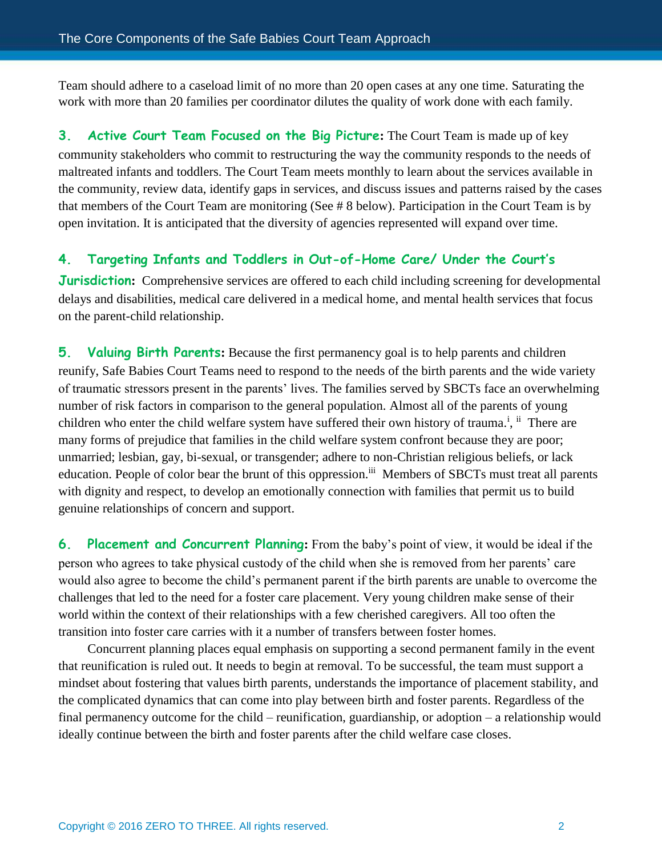Team should adhere to a caseload limit of no more than 20 open cases at any one time. Saturating the work with more than 20 families per coordinator dilutes the quality of work done with each family.

**3. Active Court Team Focused on the Big Picture:** The Court Team is made up of key community stakeholders who commit to restructuring the way the community responds to the needs of maltreated infants and toddlers. The Court Team meets monthly to learn about the services available in the community, review data, identify gaps in services, and discuss issues and patterns raised by the cases that members of the Court Team are monitoring (See # 8 below). Participation in the Court Team is by open invitation. It is anticipated that the diversity of agencies represented will expand over time.

## **4. Targeting Infants and Toddlers in Out-of-Home Care/ Under the Court's**

**Jurisdiction:** Comprehensive services are offered to each child including screening for developmental delays and disabilities, medical care delivered in a medical home, and mental health services that focus on the parent-child relationship.

**5. Valuing Birth Parents:** Because the first permanency goal is to help parents and children reunify, Safe Babies Court Teams need to respond to the needs of the birth parents and the wide variety of traumatic stressors present in the parents' lives. The families served by SBCTs face an overwhelming number of risk factors in comparison to the general population. Almost all of the parents of young children who enter the child welfare system have suffered their own history of trauma.<sup>i</sup>, ii There are many forms of prejudice that families in the child welfare system confront because they are poor; unmarried; lesbian, gay, bi-sexual, or transgender; adhere to non-Christian religious beliefs, or lack education. People of color bear the brunt of this oppression.<sup>iii</sup> Members of SBCTs must treat all parents with dignity and respect, to develop an emotionally connection with families that permit us to build genuine relationships of concern and support.

**6. Placement and Concurrent Planning:** From the baby's point of view, it would be ideal if the person who agrees to take physical custody of the child when she is removed from her parents' care would also agree to become the child's permanent parent if the birth parents are unable to overcome the challenges that led to the need for a foster care placement. Very young children make sense of their world within the context of their relationships with a few cherished caregivers. All too often the transition into foster care carries with it a number of transfers between foster homes.

Concurrent planning places equal emphasis on supporting a second permanent family in the event that reunification is ruled out. It needs to begin at removal. To be successful, the team must support a mindset about fostering that values birth parents, understands the importance of placement stability, and the complicated dynamics that can come into play between birth and foster parents. Regardless of the final permanency outcome for the child – reunification, guardianship, or adoption – a relationship would ideally continue between the birth and foster parents after the child welfare case closes.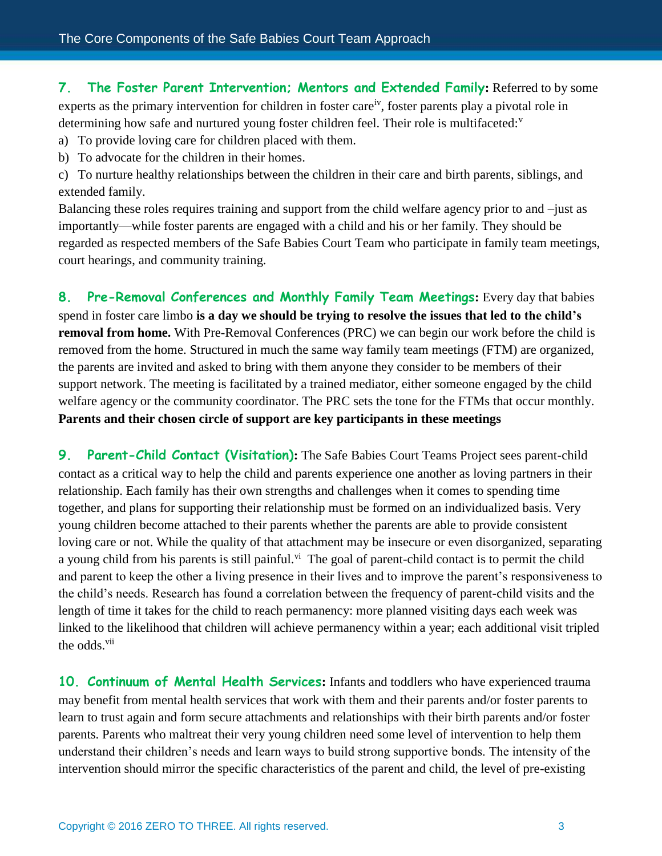**7. The Foster Parent Intervention; Mentors and Extended Family:** Referred to by some experts as the primary intervention for children in foster care<sup>iv</sup>, foster parents play a pivotal role in determining how safe and nurtured young foster children feel. Their role is multifaceted: $v$ 

- a) To provide loving care for children placed with them.
- b) To advocate for the children in their homes.

c) To nurture healthy relationships between the children in their care and birth parents, siblings, and extended family.

Balancing these roles requires training and support from the child welfare agency prior to and –just as importantly—while foster parents are engaged with a child and his or her family. They should be regarded as respected members of the Safe Babies Court Team who participate in family team meetings, court hearings, and community training.

**8. Pre-Removal Conferences and Monthly Family Team Meetings:** Every day that babies spend in foster care limbo **is a day we should be trying to resolve the issues that led to the child's removal from home.** With Pre-Removal Conferences (PRC) we can begin our work before the child is removed from the home. Structured in much the same way family team meetings (FTM) are organized, the parents are invited and asked to bring with them anyone they consider to be members of their support network. The meeting is facilitated by a trained mediator, either someone engaged by the child welfare agency or the community coordinator. The PRC sets the tone for the FTMs that occur monthly. **Parents and their chosen circle of support are key participants in these meetings**

**9. Parent-Child Contact (Visitation):** The Safe Babies Court Teams Project sees parent-child contact as a critical way to help the child and parents experience one another as loving partners in their relationship. Each family has their own strengths and challenges when it comes to spending time together, and plans for supporting their relationship must be formed on an individualized basis. Very young children become attached to their parents whether the parents are able to provide consistent loving care or not. While the quality of that attachment may be insecure or even disorganized, separating a young child from his parents is still painful.<sup>vi</sup> The goal of parent-child contact is to permit the child and parent to keep the other a living presence in their lives and to improve the parent's responsiveness to the child's needs. Research has found a correlation between the frequency of parent-child visits and the length of time it takes for the child to reach permanency: more planned visiting days each week was linked to the likelihood that children will achieve permanency within a year; each additional visit tripled the odds.<sup>vii</sup>

**10. Continuum of Mental Health Services:** Infants and toddlers who have experienced trauma may benefit from mental health services that work with them and their parents and/or foster parents to learn to trust again and form secure attachments and relationships with their birth parents and/or foster parents. Parents who maltreat their very young children need some level of intervention to help them understand their children's needs and learn ways to build strong supportive bonds. The intensity of the intervention should mirror the specific characteristics of the parent and child, the level of pre-existing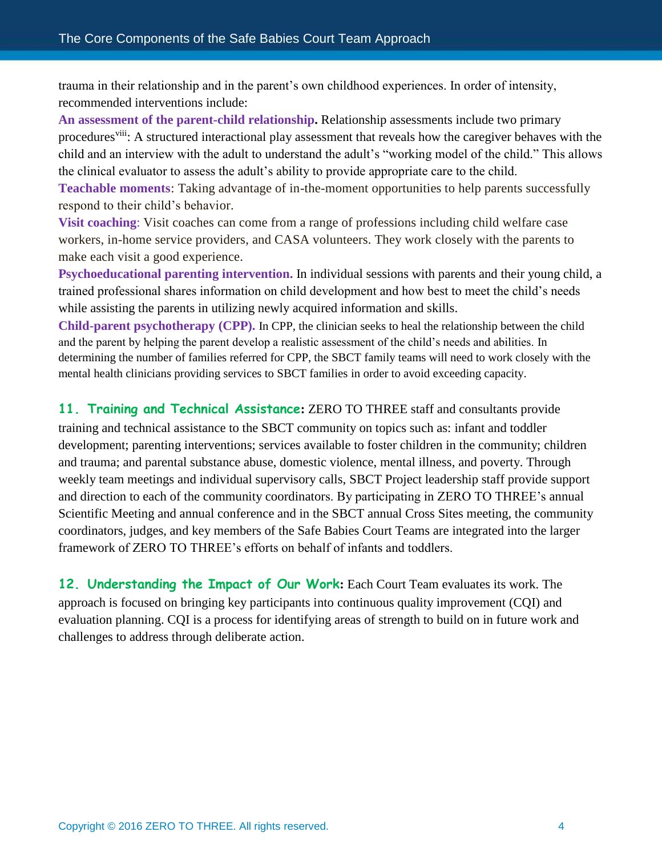trauma in their relationship and in the parent's own childhood experiences. In order of intensity, recommended interventions include:

**An assessment of the parent-child relationship.** Relationship assessments include two primary procedures<sup>viii</sup>: A structured interactional play assessment that reveals how the caregiver behaves with the child and an interview with the adult to understand the adult's "working model of the child." This allows the clinical evaluator to assess the adult's ability to provide appropriate care to the child.

**Teachable moments**: Taking advantage of in-the-moment opportunities to help parents successfully respond to their child's behavior.

**Visit coaching**: Visit coaches can come from a range of professions including child welfare case workers, in-home service providers, and CASA volunteers. They work closely with the parents to make each visit a good experience.

**Psychoeducational parenting intervention.** In individual sessions with parents and their young child, a trained professional shares information on child development and how best to meet the child's needs while assisting the parents in utilizing newly acquired information and skills.

**Child-parent psychotherapy (CPP).** In CPP, the clinician seeks to heal the relationship between the child and the parent by helping the parent develop a realistic assessment of the child's needs and abilities. In determining the number of families referred for CPP, the SBCT family teams will need to work closely with the mental health clinicians providing services to SBCT families in order to avoid exceeding capacity.

**11. Training and Technical Assistance:** ZERO TO THREE staff and consultants provide

training and technical assistance to the SBCT community on topics such as: infant and toddler development; parenting interventions; services available to foster children in the community; children and trauma; and parental substance abuse, domestic violence, mental illness, and poverty. Through weekly team meetings and individual supervisory calls, SBCT Project leadership staff provide support and direction to each of the community coordinators. By participating in ZERO TO THREE's annual Scientific Meeting and annual conference and in the SBCT annual Cross Sites meeting, the community coordinators, judges, and key members of the Safe Babies Court Teams are integrated into the larger framework of ZERO TO THREE's efforts on behalf of infants and toddlers.

**12. Understanding the Impact of Our Work:** Each Court Team evaluates its work. The approach is focused on bringing key participants into continuous quality improvement (CQI) and evaluation planning. CQI is a process for identifying areas of strength to build on in future work and challenges to address through deliberate action.